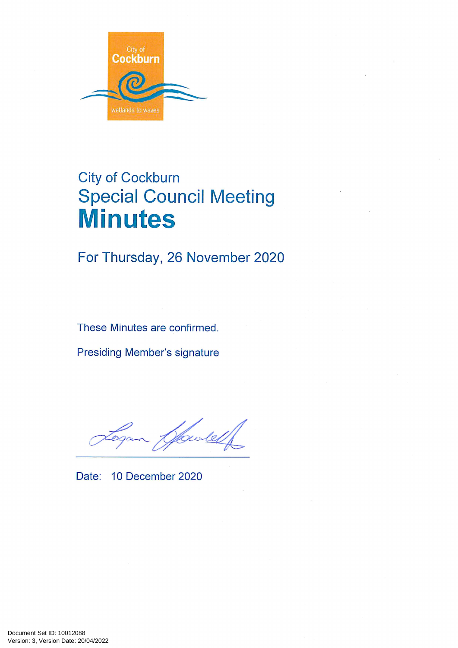

# **City of Cockburn Special Council Meeting Minutes**

For Thursday, 26 November 2020

These Minutes are confirmed.

**Presiding Member's signature** 

Howles

Date: 10 December 2020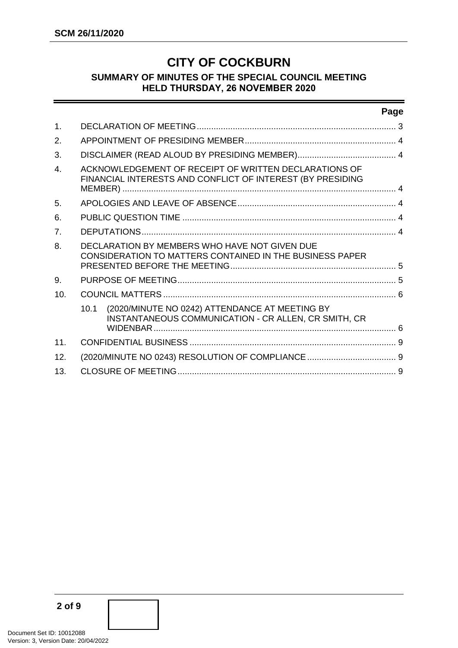# **CITY OF COCKBURN**

## **SUMMARY OF MINUTES OF THE SPECIAL COUNCIL MEETING HELD THURSDAY, 26 NOVEMBER 2020**

#### **Page**

| $\mathbf 1$ .  |                                                                                                                             |  |
|----------------|-----------------------------------------------------------------------------------------------------------------------------|--|
| 2.             |                                                                                                                             |  |
| 3.             |                                                                                                                             |  |
| $\overline{4}$ | ACKNOWLEDGEMENT OF RECEIPT OF WRITTEN DECLARATIONS OF<br>FINANCIAL INTERESTS AND CONFLICT OF INTEREST (BY PRESIDING         |  |
| 5.             |                                                                                                                             |  |
| 6.             |                                                                                                                             |  |
| 7.             |                                                                                                                             |  |
| 8.             | DECLARATION BY MEMBERS WHO HAVE NOT GIVEN DUE<br>CONSIDERATION TO MATTERS CONTAINED IN THE BUSINESS PAPER                   |  |
| 9.             |                                                                                                                             |  |
| 10.            |                                                                                                                             |  |
|                | (2020/MINUTE NO 0242) ATTENDANCE AT MEETING BY<br>10.1<br>INSTANTANEOUS COMMUNICATION - CR ALLEN, CR SMITH, CR<br>WIDENBAR. |  |
| 11.            |                                                                                                                             |  |
| 12.            |                                                                                                                             |  |
| 13.            |                                                                                                                             |  |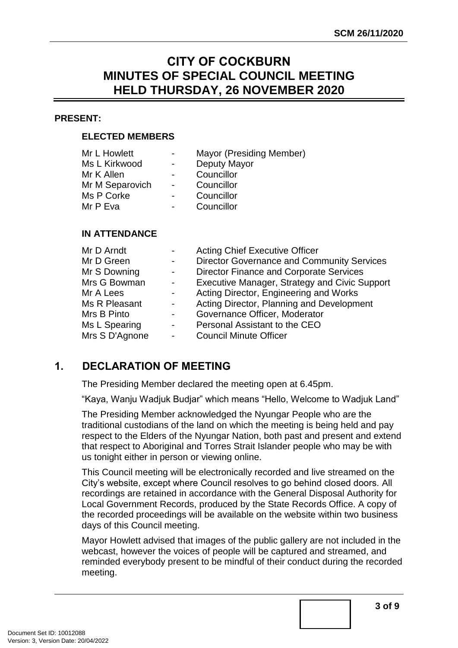# **CITY OF COCKBURN MINUTES OF SPECIAL COUNCIL MEETING HELD THURSDAY, 26 NOVEMBER 2020**

#### **PRESENT:**

#### **ELECTED MEMBERS**

| Mr L Howlett    | $\overline{\phantom{0}}$ | Mayor (Presiding Member) |
|-----------------|--------------------------|--------------------------|
| Ms L Kirkwood   |                          | Deputy Mayor             |
| Mr K Allen      |                          | Councillor               |
| Mr M Separovich | $\sim$                   | Councillor               |
| Ms P Corke      |                          | Councillor               |
| Mr P Eva        |                          | Councillor               |
|                 |                          |                          |

#### **IN ATTENDANCE**

| Mr D Arndt     |                          | <b>Acting Chief Executive Officer</b>             |
|----------------|--------------------------|---------------------------------------------------|
| Mr D Green     |                          | <b>Director Governance and Community Services</b> |
| Mr S Downing   | $\overline{\phantom{a}}$ | <b>Director Finance and Corporate Services</b>    |
| Mrs G Bowman   | $\overline{\phantom{a}}$ | Executive Manager, Strategy and Civic Support     |
| Mr A Lees      | $\overline{\phantom{0}}$ | Acting Director, Engineering and Works            |
| Ms R Pleasant  | $\blacksquare$           | Acting Director, Planning and Development         |
| Mrs B Pinto    | $\overline{\phantom{0}}$ | Governance Officer, Moderator                     |
| Ms L Spearing  | $\overline{\phantom{a}}$ | Personal Assistant to the CEO                     |
| Mrs S D'Agnone | $\blacksquare$           | <b>Council Minute Officer</b>                     |

# <span id="page-2-0"></span>**1. DECLARATION OF MEETING**

The Presiding Member declared the meeting open at 6.45pm.

"Kaya, Wanju Wadjuk Budjar" which means "Hello, Welcome to Wadjuk Land"

The Presiding Member acknowledged the Nyungar People who are the traditional custodians of the land on which the meeting is being held and pay respect to the Elders of the Nyungar Nation, both past and present and extend that respect to Aboriginal and Torres Strait Islander people who may be with us tonight either in person or viewing online.

This Council meeting will be electronically recorded and live streamed on the City's website, except where Council resolves to go behind closed doors. All recordings are retained in accordance with the General Disposal Authority for Local Government Records, produced by the State Records Office. A copy of the recorded proceedings will be available on the website within two business days of this Council meeting.

Mayor Howlett advised that images of the public gallery are not included in the webcast, however the voices of people will be captured and streamed, and reminded everybody present to be mindful of their conduct during the recorded meeting.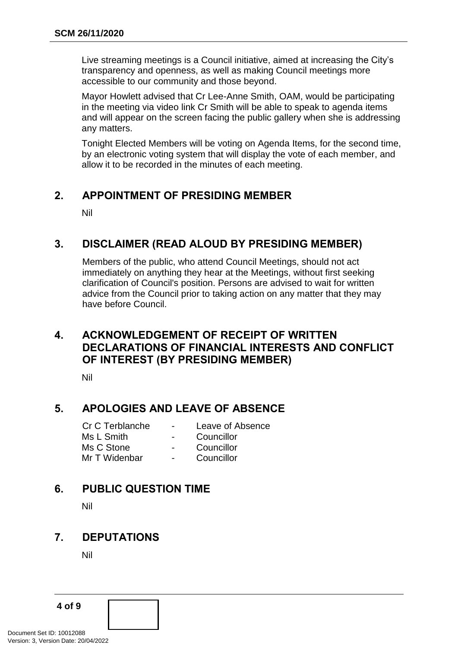Live streaming meetings is a Council initiative, aimed at increasing the City's transparency and openness, as well as making Council meetings more accessible to our community and those beyond.

Mayor Howlett advised that Cr Lee-Anne Smith, OAM, would be participating in the meeting via video link Cr Smith will be able to speak to agenda items and will appear on the screen facing the public gallery when she is addressing any matters.

Tonight Elected Members will be voting on Agenda Items, for the second time, by an electronic voting system that will display the vote of each member, and allow it to be recorded in the minutes of each meeting.

# <span id="page-3-0"></span>**2. APPOINTMENT OF PRESIDING MEMBER**

Nil

## <span id="page-3-1"></span>**3. DISCLAIMER (READ ALOUD BY PRESIDING MEMBER)**

Members of the public, who attend Council Meetings, should not act immediately on anything they hear at the Meetings, without first seeking clarification of Council's position. Persons are advised to wait for written advice from the Council prior to taking action on any matter that they may have before Council.

# <span id="page-3-2"></span>**4. ACKNOWLEDGEMENT OF RECEIPT OF WRITTEN DECLARATIONS OF FINANCIAL INTERESTS AND CONFLICT OF INTEREST (BY PRESIDING MEMBER)**

Nil

# <span id="page-3-3"></span>**5. APOLOGIES AND LEAVE OF ABSENCE**

| Cr C Terblanche | $\overline{\phantom{0}}$ | Leave of Absence |
|-----------------|--------------------------|------------------|
| Ms L Smith      | $\overline{\phantom{0}}$ | Councillor       |
| Ms C Stone      | $\overline{\phantom{0}}$ | Councillor       |
| Mr T Widenbar   | $\overline{\phantom{0}}$ | Councillor       |

# <span id="page-3-4"></span>**6. PUBLIC QUESTION TIME**

Nil

## <span id="page-3-5"></span>**7. DEPUTATIONS**

Nil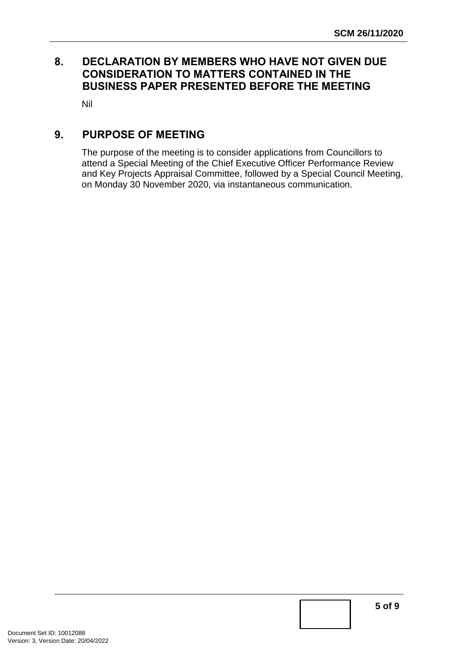# <span id="page-4-0"></span>**8. DECLARATION BY MEMBERS WHO HAVE NOT GIVEN DUE CONSIDERATION TO MATTERS CONTAINED IN THE BUSINESS PAPER PRESENTED BEFORE THE MEETING**

Nil

# <span id="page-4-1"></span>**9. PURPOSE OF MEETING**

The purpose of the meeting is to consider applications from Councillors to attend a Special Meeting of the Chief Executive Officer Performance Review and Key Projects Appraisal Committee, followed by a Special Council Meeting, on Monday 30 November 2020, via instantaneous communication.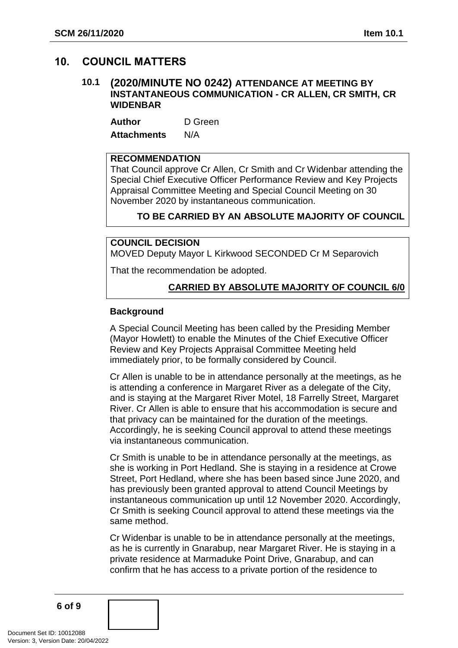## <span id="page-5-1"></span><span id="page-5-0"></span>**10. COUNCIL MATTERS**

#### **10.1 (2020/MINUTE NO 0242) ATTENDANCE AT MEETING BY INSTANTANEOUS COMMUNICATION - CR ALLEN, CR SMITH, CR WIDENBAR**

**Author** D Green **Attachments** N/A

## **RECOMMENDATION**

That Council approve Cr Allen, Cr Smith and Cr Widenbar attending the Special Chief Executive Officer Performance Review and Key Projects Appraisal Committee Meeting and Special Council Meeting on 30 November 2020 by instantaneous communication.

## **TO BE CARRIED BY AN ABSOLUTE MAJORITY OF COUNCIL**

#### **COUNCIL DECISION**

MOVED Deputy Mayor L Kirkwood SECONDED Cr M Separovich

That the recommendation be adopted.

## **CARRIED BY ABSOLUTE MAJORITY OF COUNCIL 6/0**

#### **Background**

A Special Council Meeting has been called by the Presiding Member (Mayor Howlett) to enable the Minutes of the Chief Executive Officer Review and Key Projects Appraisal Committee Meeting held immediately prior, to be formally considered by Council.

Cr Allen is unable to be in attendance personally at the meetings, as he is attending a conference in Margaret River as a delegate of the City, and is staying at the Margaret River Motel, 18 Farrelly Street, Margaret River. Cr Allen is able to ensure that his accommodation is secure and that privacy can be maintained for the duration of the meetings. Accordingly, he is seeking Council approval to attend these meetings via instantaneous communication.

Cr Smith is unable to be in attendance personally at the meetings, as she is working in Port Hedland. She is staying in a residence at Crowe Street, Port Hedland, where she has been based since June 2020, and has previously been granted approval to attend Council Meetings by instantaneous communication up until 12 November 2020. Accordingly, Cr Smith is seeking Council approval to attend these meetings via the same method.

Cr Widenbar is unable to be in attendance personally at the meetings, as he is currently in Gnarabup, near Margaret River. He is staying in a private residence at Marmaduke Point Drive, Gnarabup, and can confirm that he has access to a private portion of the residence to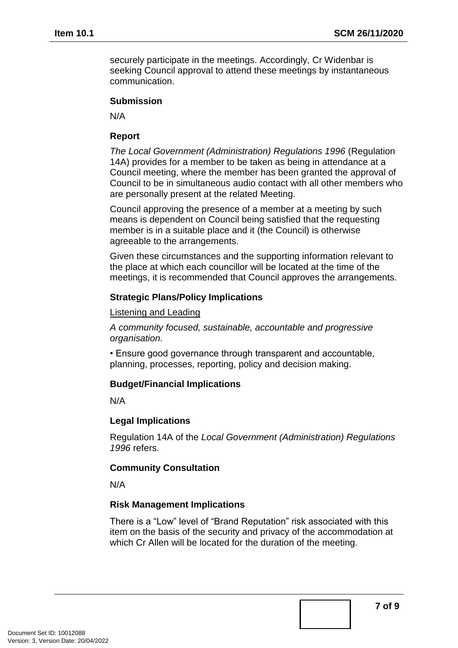securely participate in the meetings. Accordingly, Cr Widenbar is seeking Council approval to attend these meetings by instantaneous communication.

#### **Submission**

N/A

#### **Report**

*The Local Government (Administration) Regulations 1996* (Regulation 14A) provides for a member to be taken as being in attendance at a Council meeting, where the member has been granted the approval of Council to be in simultaneous audio contact with all other members who are personally present at the related Meeting.

Council approving the presence of a member at a meeting by such means is dependent on Council being satisfied that the requesting member is in a suitable place and it (the Council) is otherwise agreeable to the arrangements.

Given these circumstances and the supporting information relevant to the place at which each councillor will be located at the time of the meetings, it is recommended that Council approves the arrangements.

#### **Strategic Plans/Policy Implications**

Listening and Leading

*A community focused, sustainable, accountable and progressive organisation.*

• Ensure good governance through transparent and accountable, planning, processes, reporting, policy and decision making.

## **Budget/Financial Implications**

N/A

## **Legal Implications**

Regulation 14A of the *Local Government (Administration) Regulations 1996* refers.

## **Community Consultation**

N/A

## **Risk Management Implications**

There is a "Low" level of "Brand Reputation" risk associated with this item on the basis of the security and privacy of the accommodation at which Cr Allen will be located for the duration of the meeting.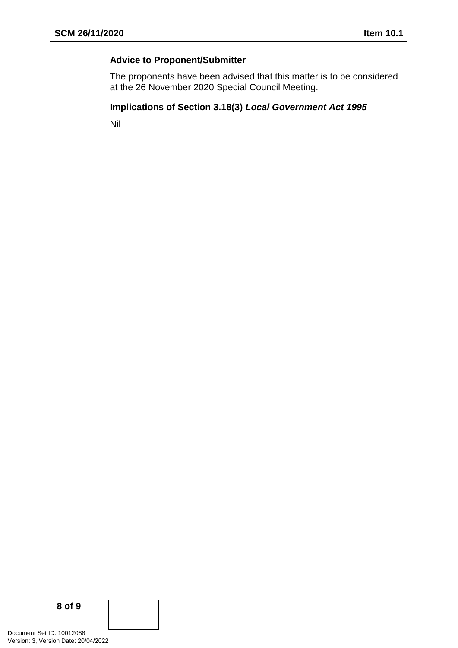# **Advice to Proponent/Submitter**

The proponents have been advised that this matter is to be considered at the 26 November 2020 Special Council Meeting.

## **Implications of Section 3.18(3)** *Local Government Act 1995*

Nil